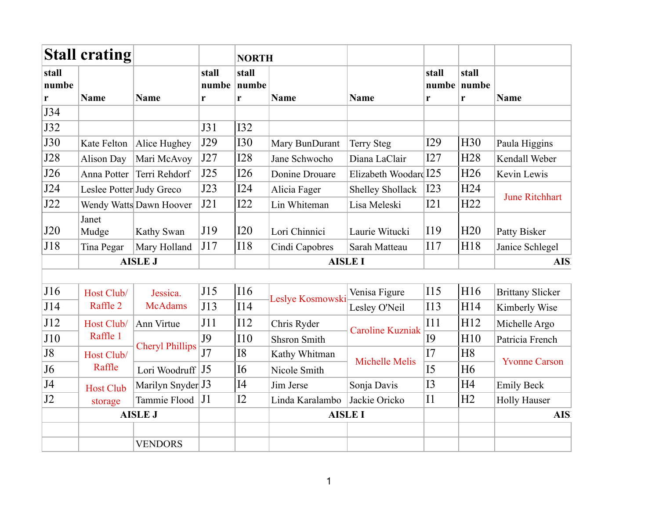|                | <b>Stall crating</b>     |                         |                | <b>NORTH</b>   |                     |                         |                |                      |                         |  |
|----------------|--------------------------|-------------------------|----------------|----------------|---------------------|-------------------------|----------------|----------------------|-------------------------|--|
| stall<br>numbe |                          |                         | stall<br>numbe | stall<br>numbe |                     |                         | stall          | stall<br>numbe numbe |                         |  |
| r              | <b>Name</b>              | <b>Name</b>             | r              | r              | <b>Name</b>         | <b>Name</b>             | r              | r                    | Name                    |  |
| J34            |                          |                         |                |                |                     |                         |                |                      |                         |  |
| J32            |                          |                         | J31            | <b>I32</b>     |                     |                         |                |                      |                         |  |
| <b>J30</b>     | Kate Felton              | Alice Hughey            | J29            | <b>I30</b>     | Mary BunDurant      | <b>Terry Steg</b>       | I29            | H <sub>30</sub>      | Paula Higgins           |  |
| J28            | <b>Alison Day</b>        | Mari McAvoy             | J27            | <b>I28</b>     | Jane Schwocho       | Diana LaClair           | I27            | H <sub>28</sub>      | Kendall Weber           |  |
| J26            | Anna Potter              | Terri Rehdorf           | J25            | I26            | Donine Drouare      | Elizabeth Woodard I25   |                | H <sub>26</sub>      | Kevin Lewis             |  |
| J24            | Leslee Potter Judy Greco |                         | J23            | I24            | Alicia Fager        | <b>Shelley Shollack</b> | I23            | H <sub>24</sub>      |                         |  |
| J22            |                          | Wendy Watts Dawn Hoover | J21            | I22            | Lin Whiteman        | Lisa Meleski            | I21            | H22                  | <b>June Ritchhart</b>   |  |
| J20            | Janet<br>Mudge           | Kathy Swan              | J19            | I20            | Lori Chinnici       | Laurie Witucki          | I19            | H20                  | Patty Bisker            |  |
| J18            | Tina Pegar               | Mary Holland            | J17            | <b>I18</b>     | Cindi Capobres      | Sarah Matteau           | 117            | H18                  | Janice Schlegel         |  |
|                |                          | <b>AISLE J</b>          |                |                |                     | <b>AISLE I</b>          |                |                      | <b>AIS</b>              |  |
|                |                          |                         |                |                |                     |                         |                |                      |                         |  |
| J16            | Host Club/               | Jessica.                | J15            | <b>I16</b>     |                     | Venisa Figure           | 115            | H <sub>16</sub>      | <b>Brittany Slicker</b> |  |
| J14            | Raffle 2                 | <b>McAdams</b>          | J13            | <b>I14</b>     | Leslye Kosmowski    | Lesley O'Neil           | <b>I13</b>     | H14                  | Kimberly Wise           |  |
| J12            | Host Club/               | Ann Virtue              | J11            | I12            | Chris Ryder         | <b>Caroline Kuzniak</b> | I11            | H12                  | Michelle Argo           |  |
| J10            | Raffle 1                 |                         | J9             | <b>I10</b>     | <b>Shsron Smith</b> |                         | <b>I9</b>      | H10                  | Patricia French         |  |
| J8             | Host Club/               | <b>Cheryl Phillips</b>  | J7             | <b>I8</b>      | Kathy Whitman       |                         | I7             | H <sub>8</sub>       | <b>Yvonne Carson</b>    |  |
| J <sub>6</sub> | Raffle                   | Lori Woodruff   J5      |                | <b>I6</b>      | Nicole Smith        | <b>Michelle Melis</b>   | I5             | H <sub>6</sub>       |                         |  |
| J4             | <b>Host Club</b>         | Marilyn Snyder J3       |                | I4             | Jim Jerse           | Sonja Davis             | <b>I3</b>      | H <sub>4</sub>       | <b>Emily Beck</b>       |  |
| J2             | storage                  | Tammie Flood   J1       |                | I2             | Linda Karalambo     | Jackie Oricko           | I <sub>1</sub> | H2                   | <b>Holly Hauser</b>     |  |
|                |                          | <b>AISLE J</b>          |                |                |                     | <b>AISLE I</b>          |                |                      | <b>AIS</b>              |  |
|                |                          |                         |                |                |                     |                         |                |                      |                         |  |
|                |                          | <b>VENDORS</b>          |                |                |                     |                         |                |                      |                         |  |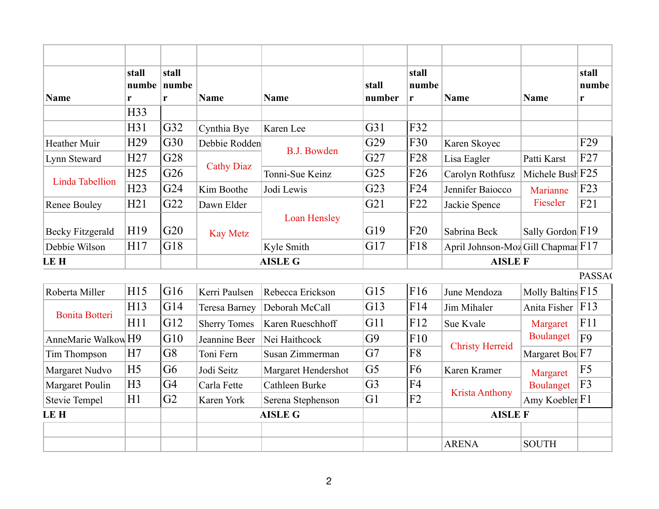| Name                    | stall<br>r      | stall<br>numbe numbe<br>r | <b>Name</b>          | <b>Name</b>         | stall<br>number | stall<br>numbe<br>r | <b>Name</b>                        |                                                                                             | stall<br>numbe<br>r |
|-------------------------|-----------------|---------------------------|----------------------|---------------------|-----------------|---------------------|------------------------------------|---------------------------------------------------------------------------------------------|---------------------|
|                         | H33             |                           |                      |                     |                 |                     |                                    |                                                                                             |                     |
|                         | H31             | G32                       | Cynthia Bye          | Karen Lee           | G31             | F32                 |                                    |                                                                                             |                     |
| <b>Heather Muir</b>     | H <sub>29</sub> | G30                       | Debbie Rodden        |                     | G29             | F30                 | Karen Skoyec                       |                                                                                             | F <sub>29</sub>     |
| Lynn Steward            | H27             | G28                       |                      | <b>B.J. Bowden</b>  | G27             | F28                 | Lisa Eagler                        | Patti Karst                                                                                 | F27                 |
|                         | H25             | G26                       | <b>Cathy Diaz</b>    | Tonni-Sue Keinz     | G <sub>25</sub> | F <sub>26</sub>     | Carolyn Rothfusz                   | Michele Bush F25                                                                            |                     |
| <b>Linda Tabellion</b>  | H23             | G24                       | Kim Boothe           | Jodi Lewis          | G23             | F <sub>24</sub>     | Jennifer Baiocco                   | Marianne                                                                                    | F23                 |
| <b>Renee Bouley</b>     | H21             | G22                       | Dawn Elder           |                     | G21             | F22                 | Jackie Spence                      | Fieseler                                                                                    | F21                 |
| <b>Becky Fitzgerald</b> | H19             | G20                       | <b>Kay Metz</b>      | <b>Loan Hensley</b> | G19             | F20                 | Sabrina Beck                       | Sally Gordon F19                                                                            |                     |
| Debbie Wilson           | H17             | G18                       |                      | Kyle Smith          | G17             | F18                 | April Johnson-Moz Gill Chapmar F17 |                                                                                             |                     |
| <b>LEH</b>              |                 |                           |                      | <b>AISLE G</b>      |                 |                     | <b>AISLE F</b>                     |                                                                                             |                     |
|                         |                 |                           |                      |                     |                 |                     |                                    |                                                                                             | <b>PASSA</b>        |
| Roberta Miller          | H15             | G16                       | Kerri Paulsen        | Rebecca Erickson    | G15             | F16                 | June Mendoza                       | Molly Baltins F15                                                                           |                     |
|                         | H13             | G14                       | <b>Teresa Barney</b> | Deborah McCall      | G13             | F14                 | Jim Mihaler                        | Anita Fisher                                                                                | F13                 |
| <b>Bonita Botteri</b>   | H11             | G12                       | <b>Sherry Tomes</b>  | Karen Rueschhoff    | G11             | F12                 | Sue Kvale                          | <b>Name</b><br>Margaret<br><b>Boulanget</b><br>Margaret<br><b>Boulanget</b><br><b>SOUTH</b> | F11                 |
| AnneMarie Walkow H9     |                 | G10                       | Jeannine Beer        | Nei Haithcock       | G9              | F10                 |                                    |                                                                                             | F <sub>9</sub>      |
| Tim Thompson            | H7              | G8                        | Toni Fern            | Susan Zimmerman     | G7              | F8                  | <b>Christy Herreid</b>             | Margaret Bou F7                                                                             |                     |
| Margaret Nudvo          | H <sub>5</sub>  | G <sub>6</sub>            | Jodi Seitz           | Margaret Hendershot | G <sub>5</sub>  | F <sub>6</sub>      | Karen Kramer                       |                                                                                             | F <sub>5</sub>      |
| Margaret Poulin         | H <sub>3</sub>  | G <sub>4</sub>            | Carla Fette          | Cathleen Burke      | G <sub>3</sub>  | F <sub>4</sub>      |                                    |                                                                                             | F3                  |
| <b>Stevie Tempel</b>    | H1              | G2                        | Karen York           | Serena Stephenson   | G <sub>1</sub>  | F2                  | <b>Krista Anthony</b>              | Amy Koebler F1                                                                              |                     |
| <b>LEH</b>              |                 |                           |                      | <b>AISLE G</b>      |                 |                     | <b>AISLE F</b>                     |                                                                                             |                     |
|                         |                 |                           |                      |                     |                 |                     | <b>ARENA</b>                       |                                                                                             |                     |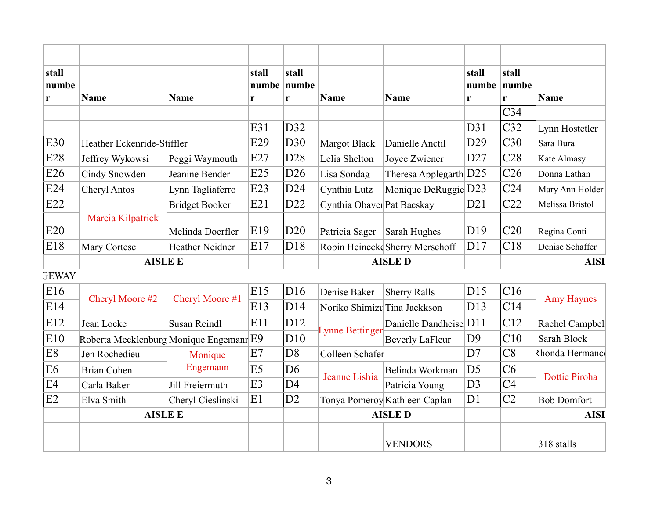| stall<br>numbe<br>$\mathbf{r}$ | <b>Name</b>                | <b>Name</b>           | stall<br>r | stall<br>numbe   numbe<br>r | <b>Name</b>                | <b>Name</b>                    | stall<br>r      | stall<br>$number$   numbe<br>r | <b>Name</b>     |
|--------------------------------|----------------------------|-----------------------|------------|-----------------------------|----------------------------|--------------------------------|-----------------|--------------------------------|-----------------|
|                                |                            |                       |            |                             |                            |                                |                 | C <sub>34</sub>                |                 |
|                                |                            |                       | E31        | D32                         |                            |                                | D31             | C32                            | Lynn Hostetler  |
| E30                            | Heather Eckenride-Stiffler |                       | E29        | D30                         | <b>Margot Black</b>        | Danielle Anctil                | D29             | C30                            | Sara Bura       |
| E28                            | Jeffrey Wykowsi            | Peggi Waymouth        | E27        | D28                         | Lelia Shelton              | Joyce Zwiener                  | D27             | C28                            | Kate Almasy     |
| E26                            | Cindy Snowden              | Jeanine Bender        | E25        | D26                         | Lisa Sondag                | Theresa Applegarth $D25$       |                 | C <sub>26</sub>                | Donna Lathan    |
| E24                            | Cheryl Antos               | Lynn Tagliaferro      | E23        | D24                         | Cynthia Lutz               | Monique DeRuggie D23           |                 | C <sub>24</sub>                | Mary Ann Holder |
| E22                            |                            | <b>Bridget Booker</b> | E21        | D22                         | Cynthia Obaver Pat Bacskay |                                | D21             | C22                            | Melissa Bristol |
| E20                            | Marcia Kilpatrick          | Melinda Doerfler      | E19        | D <sub>20</sub>             | Patricia Sager             | Sarah Hughes                   | D <sub>19</sub> | C20                            | Regina Conti    |
| E18                            | Mary Cortese               | Heather Neidner       | E17        | DI8                         |                            | Robin Heineck Sherry Merschoff | D17             | C18                            | Denise Schaffer |
|                                | <b>AISLE E</b>             |                       |            | <b>AISLED</b>               |                            |                                |                 | <b>AISI</b>                    |                 |

**GEWAY** 

| E16            | Cheryl Moore #2                         |                   | E15            | DI6            | Denise Baker                 | <b>Sherry Ralls</b>           | D15                    | C16         |                    |  |
|----------------|-----------------------------------------|-------------------|----------------|----------------|------------------------------|-------------------------------|------------------------|-------------|--------------------|--|
| E14            |                                         | Cheryl Moore #1   | E13            | D14            | Noriko Shimizu Tina Jackkson |                               | D <sub>13</sub>        | C14         | <b>Amy Haynes</b>  |  |
| E12            | Jean Locke                              | Susan Reindl      | E11            | D12            | <b>Lynne Bettinger-</b>      |                               | Danielle Dandheise D11 |             | Rachel Campbel     |  |
| E10            | Roberta Mecklenburg Monique Engemann E9 |                   |                | D10            |                              | <b>Beverly LaFleur</b>        | D <sub>9</sub>         | C10         | Sarah Block        |  |
| E <sub>8</sub> | Jen Rochedieu                           | Monique           | E7             | D <sub>8</sub> | Colleen Schafer              |                               | D7                     | C8          | Rhonda Hermanco    |  |
| E6             | Brian Cohen                             | Engemann          | E <sub>5</sub> | D <sub>6</sub> | Jeanne Lishia                | Belinda Workman               | D <sub>5</sub>         | C6          | Dottie Piroha      |  |
| IE4            | Carla Baker                             | Jill Freiermuth   | E <sub>3</sub> | D <sub>4</sub> |                              | Patricia Young                | D <sub>3</sub>         | C4          |                    |  |
| E <sub>2</sub> | Elva Smith                              | Cheryl Cieslinski | E1             | D2             |                              | Tonya Pomeroy Kathleen Caplan | D <sub>1</sub>         | C2          | <b>Bob Domfort</b> |  |
|                | <b>AISLE E</b>                          |                   |                |                | <b>AISLED</b>                |                               |                        | <b>AISI</b> |                    |  |
|                |                                         |                   |                |                |                              |                               |                        |             |                    |  |
|                |                                         |                   |                |                |                              | <b>VENDORS</b>                |                        |             | 318 stalls         |  |